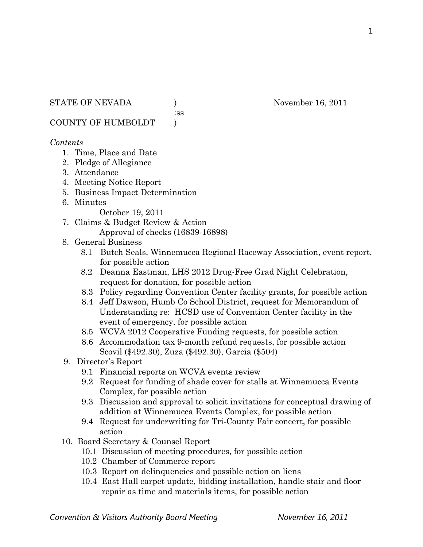:ss

COUNTY OF HUMBOLDT )

## *Contents*

- 1. Time, Place and Date
- 2. Pledge of Allegiance
- 3. Attendance
- 4. Meeting Notice Report
- 5. Business Impact Determination
- 6. Minutes

October 19, 2011

- 7. Claims & Budget Review & Action Approval of checks (16839-16898)
- 8. General Business
	- 8.1 Butch Seals, Winnemucca Regional Raceway Association, event report, for possible action
	- 8.2 Deanna Eastman, LHS 2012 Drug-Free Grad Night Celebration, request for donation, for possible action
	- 8.3 Policy regarding Convention Center facility grants, for possible action
	- 8.4 Jeff Dawson, Humb Co School District, request for Memorandum of Understanding re: HCSD use of Convention Center facility in the event of emergency, for possible action
	- 8.5 WCVA 2012 Cooperative Funding requests, for possible action
	- 8.6 Accommodation tax 9-month refund requests, for possible action Scovil (\$492.30), Zuza (\$492.30), Garcia (\$504)
- 9. Director's Report
	- 9.1 Financial reports on WCVA events review
	- 9.2 Request for funding of shade cover for stalls at Winnemucca Events Complex, for possible action
	- 9.3 Discussion and approval to solicit invitations for conceptual drawing of addition at Winnemucca Events Complex, for possible action
	- 9.4 Request for underwriting for Tri-County Fair concert, for possible action
- 10. Board Secretary & Counsel Report
	- 10.1 Discussion of meeting procedures, for possible action
	- 10.2 Chamber of Commerce report
	- 10.3 Report on delinquencies and possible action on liens
	- 10.4 East Hall carpet update, bidding installation, handle stair and floor repair as time and materials items, for possible action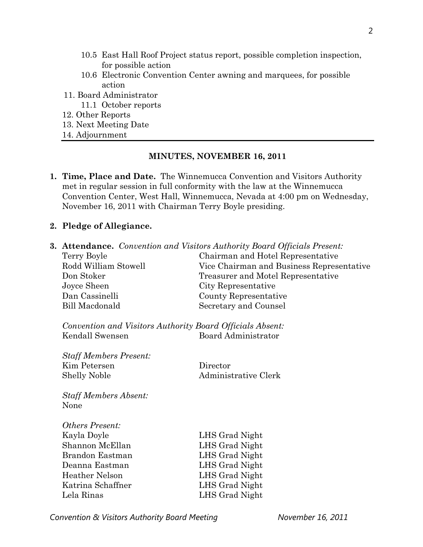- 10.5 East Hall Roof Project status report, possible completion inspection, for possible action
- 10.6 Electronic Convention Center awning and marquees, for possible action
- 11. Board Administrator
	- 11.1 October reports
- 12. Other Reports
- 13. Next Meeting Date
- 14. Adjournment

#### **MINUTES, NOVEMBER 16, 2011**

- **1. Time, Place and Date.** The Winnemucca Convention and Visitors Authority met in regular session in full conformity with the law at the Winnemucca Convention Center, West Hall, Winnemucca, Nevada at 4:00 pm on Wednesday, November 16, 2011 with Chairman Terry Boyle presiding.
- **2. Pledge of Allegiance.**
- **3. Attendance.** *Convention and Visitors Authority Board Officials Present:*

| Terry Boyle                                               | Chairman and Hotel Representative         |  |
|-----------------------------------------------------------|-------------------------------------------|--|
| Rodd William Stowell                                      | Vice Chairman and Business Representative |  |
| Don Stoker                                                | Treasurer and Motel Representative        |  |
| Joyce Sheen                                               | City Representative                       |  |
| Dan Cassinelli                                            | County Representative                     |  |
| <b>Bill Macdonald</b>                                     | Secretary and Counsel                     |  |
| Convention and Visitors Authority Board Officials Absent: |                                           |  |
| Kendall Swensen                                           | Board Administrator                       |  |
| <b>Staff Members Present:</b>                             |                                           |  |
| Kim Petersen                                              | Director                                  |  |
| <b>Shelly Noble</b>                                       | Administrative Clerk                      |  |
| <b>Staff Members Absent:</b>                              |                                           |  |
| None                                                      |                                           |  |
| <i><b>Others Present:</b></i>                             |                                           |  |
| Kayla Doyle                                               | LHS Grad Night                            |  |
| Shannon McEllan                                           | LHS Grad Night                            |  |
| Brandon Eastman                                           | LHS Grad Night                            |  |
| Deanna Eastman                                            | LHS Grad Night                            |  |
| <b>Heather Nelson</b>                                     | LHS Grad Night                            |  |
| Katrina Schaffner                                         | LHS Grad Night                            |  |
| Lela Rinas                                                | LHS Grad Night                            |  |
|                                                           |                                           |  |

*Convention & Visitors Authority Board Meeting November 16, 2011*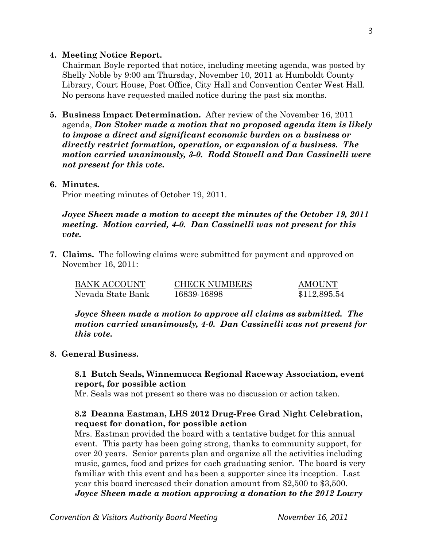#### **4. Meeting Notice Report.**

Chairman Boyle reported that notice, including meeting agenda, was posted by Shelly Noble by 9:00 am Thursday, November 10, 2011 at Humboldt County Library, Court House, Post Office, City Hall and Convention Center West Hall. No persons have requested mailed notice during the past six months.

**5. Business Impact Determination.** After review of the November 16, 2011 agenda, *Don Stoker made a motion that no proposed agenda item is likely to impose a direct and significant economic burden on a business or directly restrict formation, operation, or expansion of a business. The motion carried unanimously, 3-0. Rodd Stowell and Dan Cassinelli were not present for this vote.*

#### **6. Minutes.**

Prior meeting minutes of October 19, 2011.

*Joyce Sheen made a motion to accept the minutes of the October 19, 2011 meeting. Motion carried, 4-0. Dan Cassinelli was not present for this vote.* 

**7. Claims.** The following claims were submitted for payment and approved on November 16, 2011:

| <b>BANK ACCOUNT</b> | <b>CHECK NUMBERS</b> | <b>AMOUNT</b> |
|---------------------|----------------------|---------------|
| Nevada State Bank   | 16839-16898          | \$112,895.54  |

*Joyce Sheen made a motion to approve all claims as submitted. The motion carried unanimously, 4-0. Dan Cassinelli was not present for this vote.* 

#### **8. General Business.**

#### **8.1 Butch Seals, Winnemucca Regional Raceway Association, event report, for possible action**

Mr. Seals was not present so there was no discussion or action taken.

## **8.2 Deanna Eastman, LHS 2012 Drug-Free Grad Night Celebration, request for donation, for possible action**

Mrs. Eastman provided the board with a tentative budget for this annual event. This party has been going strong, thanks to community support, for over 20 years. Senior parents plan and organize all the activities including music, games, food and prizes for each graduating senior. The board is very familiar with this event and has been a supporter since its inception. Last year this board increased their donation amount from \$2,500 to \$3,500. *Joyce Sheen made a motion approving a donation to the 2012 Lowry*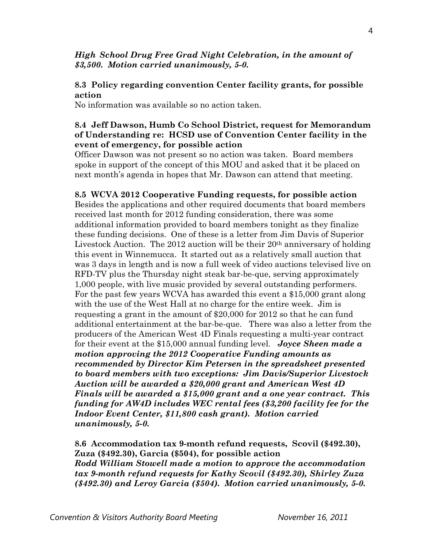## *High School Drug Free Grad Night Celebration, in the amount of \$3,500. Motion carried unanimously, 5-0.*

# **8.3 Policy regarding convention Center facility grants, for possible action**

No information was available so no action taken.

## **8.4 Jeff Dawson, Humb Co School District, request for Memorandum of Understanding re: HCSD use of Convention Center facility in the event of emergency, for possible action**

Officer Dawson was not present so no action was taken. Board members spoke in support of the concept of this MOU and asked that it be placed on next month's agenda in hopes that Mr. Dawson can attend that meeting.

# **8.5 WCVA 2012 Cooperative Funding requests, for possible action**

Besides the applications and other required documents that board members received last month for 2012 funding consideration, there was some additional information provided to board members tonight as they finalize these funding decisions. One of these is a letter from Jim Davis of Superior Livestock Auction. The 2012 auction will be their  $20<sup>th</sup>$  anniversary of holding this event in Winnemucca. It started out as a relatively small auction that was 3 days in length and is now a full week of video auctions televised live on RFD-TV plus the Thursday night steak bar-be-que, serving approximately 1,000 people, with live music provided by several outstanding performers. For the past few years WCVA has awarded this event a \$15,000 grant along with the use of the West Hall at no charge for the entire week. Jim is requesting a grant in the amount of \$20,000 for 2012 so that he can fund additional entertainment at the bar-be-que. There was also a letter from the producers of the American West 4D Finals requesting a multi-year contract for their event at the \$15,000 annual funding level. *Joyce Sheen made a motion approving the 2012 Cooperative Funding amounts as recommended by Director Kim Petersen in the spreadsheet presented to board members with two exceptions: Jim Davis/Superior Livestock Auction will be awarded a \$20,000 grant and American West 4D Finals will be awarded a \$15,000 grant and a one year contract. This funding for AW4D includes WEC rental fees (\$3,200 facility fee for the Indoor Event Center, \$11,800 cash grant). Motion carried unanimously, 5-0.* 

**8.6 Accommodation tax 9-month refund requests, Scovil (\$492.30), Zuza (\$492.30), Garcia (\$504), for possible action**  *Rodd William Stowell made a motion to approve the accommodation tax 9-month refund requests for Kathy Scovil (\$492.30), Shirley Zuza (\$492.30) and Leroy Garcia (\$504). Motion carried unanimously, 5-0.*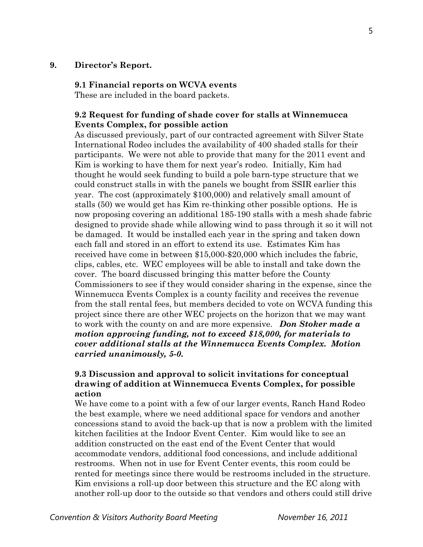#### **9. Director's Report.**

#### **9.1 Financial reports on WCVA events**

These are included in the board packets.

#### **9.2 Request for funding of shade cover for stalls at Winnemucca Events Complex, for possible action**

As discussed previously, part of our contracted agreement with Silver State International Rodeo includes the availability of 400 shaded stalls for their participants. We were not able to provide that many for the 2011 event and Kim is working to have them for next year's rodeo. Initially, Kim had thought he would seek funding to build a pole barn-type structure that we could construct stalls in with the panels we bought from SSIR earlier this year. The cost (approximately \$100,000) and relatively small amount of stalls (50) we would get has Kim re-thinking other possible options. He is now proposing covering an additional 185-190 stalls with a mesh shade fabric designed to provide shade while allowing wind to pass through it so it will not be damaged. It would be installed each year in the spring and taken down each fall and stored in an effort to extend its use. Estimates Kim has received have come in between \$15,000-\$20,000 which includes the fabric, clips, cables, etc. WEC employees will be able to install and take down the cover. The board discussed bringing this matter before the County Commissioners to see if they would consider sharing in the expense, since the Winnemucca Events Complex is a county facility and receives the revenue from the stall rental fees, but members decided to vote on WCVA funding this project since there are other WEC projects on the horizon that we may want to work with the county on and are more expensive. *Don Stoker made a motion approving funding, not to exceed \$18,000, for materials to cover additional stalls at the Winnemucca Events Complex. Motion carried unanimously, 5-0.* 

## **9.3 Discussion and approval to solicit invitations for conceptual drawing of addition at Winnemucca Events Complex, for possible action**

We have come to a point with a few of our larger events, Ranch Hand Rodeo the best example, where we need additional space for vendors and another concessions stand to avoid the back-up that is now a problem with the limited kitchen facilities at the Indoor Event Center. Kim would like to see an addition constructed on the east end of the Event Center that would accommodate vendors, additional food concessions, and include additional restrooms. When not in use for Event Center events, this room could be rented for meetings since there would be restrooms included in the structure. Kim envisions a roll-up door between this structure and the EC along with another roll-up door to the outside so that vendors and others could still drive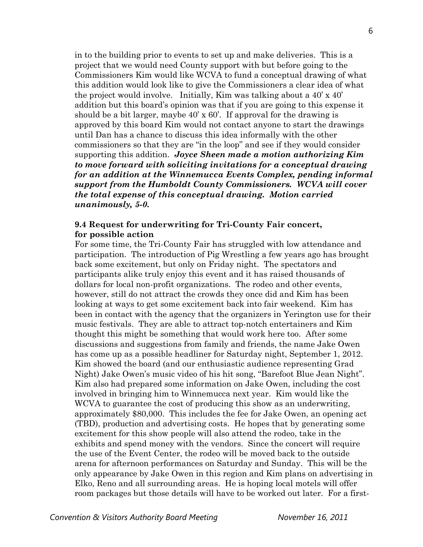in to the building prior to events to set up and make deliveries. This is a project that we would need County support with but before going to the Commissioners Kim would like WCVA to fund a conceptual drawing of what this addition would look like to give the Commissioners a clear idea of what the project would involve. Initially, Kim was talking about a  $40' \times 40'$ addition but this board's opinion was that if you are going to this expense it should be a bit larger, maybe 40' x 60'. If approval for the drawing is approved by this board Kim would not contact anyone to start the drawings until Dan has a chance to discuss this idea informally with the other commissioners so that they are "in the loop" and see if they would consider supporting this addition. *Joyce Sheen made a motion authorizing Kim to move forward with soliciting invitations for a conceptual drawing for an addition at the Winnemucca Events Complex, pending informal support from the Humboldt County Commissioners. WCVA will cover the total expense of this conceptual drawing. Motion carried unanimously, 5-0.* 

#### **9.4 Request for underwriting for Tri-County Fair concert, for possible action**

For some time, the Tri-County Fair has struggled with low attendance and participation. The introduction of Pig Wrestling a few years ago has brought back some excitement, but only on Friday night. The spectators and participants alike truly enjoy this event and it has raised thousands of dollars for local non-profit organizations. The rodeo and other events, however, still do not attract the crowds they once did and Kim has been looking at ways to get some excitement back into fair weekend. Kim has been in contact with the agency that the organizers in Yerington use for their music festivals. They are able to attract top-notch entertainers and Kim thought this might be something that would work here too. After some discussions and suggestions from family and friends, the name Jake Owen has come up as a possible headliner for Saturday night, September 1, 2012. Kim showed the board (and our enthusiastic audience representing Grad Night) Jake Owen's music video of his hit song, "Barefoot Blue Jean Night". Kim also had prepared some information on Jake Owen, including the cost involved in bringing him to Winnemucca next year. Kim would like the WCVA to guarantee the cost of producing this show as an underwriting, approximately \$80,000. This includes the fee for Jake Owen, an opening act (TBD), production and advertising costs. He hopes that by generating some excitement for this show people will also attend the rodeo, take in the exhibits and spend money with the vendors. Since the concert will require the use of the Event Center, the rodeo will be moved back to the outside arena for afternoon performances on Saturday and Sunday. This will be the only appearance by Jake Owen in this region and Kim plans on advertising in Elko, Reno and all surrounding areas. He is hoping local motels will offer room packages but those details will have to be worked out later. For a first-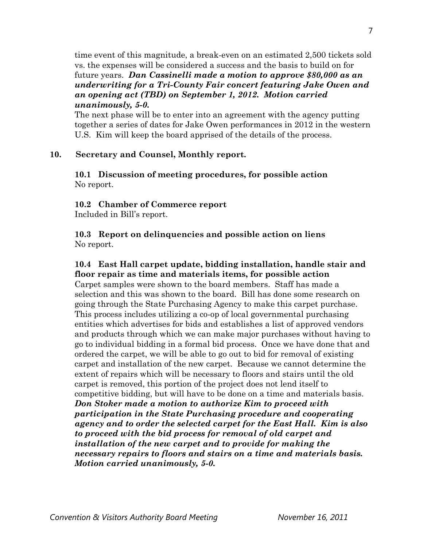time event of this magnitude, a break-even on an estimated 2,500 tickets sold vs. the expenses will be considered a success and the basis to build on for future years. *Dan Cassinelli made a motion to approve \$80,000 as an underwriting for a Tri-County Fair concert featuring Jake Owen and an opening act (TBD) on September 1, 2012. Motion carried unanimously, 5-0.* 

The next phase will be to enter into an agreement with the agency putting together a series of dates for Jake Owen performances in 2012 in the western U.S. Kim will keep the board apprised of the details of the process.

## **10. Secretary and Counsel, Monthly report.**

**10.1 Discussion of meeting procedures, for possible action**  No report.

## **10.2 Chamber of Commerce report**

Included in Bill's report.

**10.3 Report on delinquencies and possible action on liens**  No report.

## **10.4 East Hall carpet update, bidding installation, handle stair and floor repair as time and materials items, for possible action** Carpet samples were shown to the board members. Staff has made a selection and this was shown to the board. Bill has done some research on going through the State Purchasing Agency to make this carpet purchase. This process includes utilizing a co-op of local governmental purchasing entities which advertises for bids and establishes a list of approved vendors and products through which we can make major purchases without having to go to individual bidding in a formal bid process. Once we have done that and ordered the carpet, we will be able to go out to bid for removal of existing carpet and installation of the new carpet. Because we cannot determine the extent of repairs which will be necessary to floors and stairs until the old carpet is removed, this portion of the project does not lend itself to competitive bidding, but will have to be done on a time and materials basis. *Don Stoker made a motion to authorize Kim to proceed with participation in the State Purchasing procedure and cooperating agency and to order the selected carpet for the East Hall. Kim is also to proceed with the bid process for removal of old carpet and installation of the new carpet and to provide for making the necessary repairs to floors and stairs on a time and materials basis. Motion carried unanimously, 5-0.*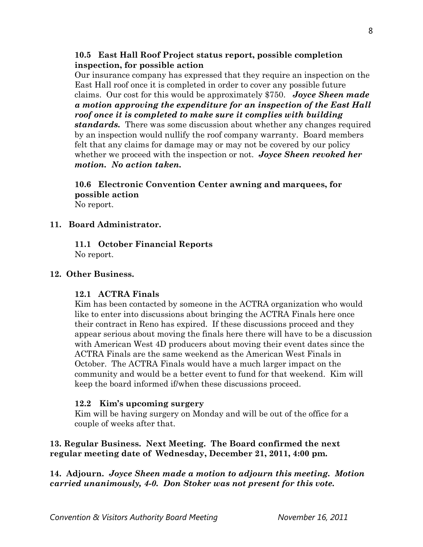## **10.5 East Hall Roof Project status report, possible completion inspection, for possible action**

Our insurance company has expressed that they require an inspection on the East Hall roof once it is completed in order to cover any possible future claims. Our cost for this would be approximately \$750. *Joyce Sheen made a motion approving the expenditure for an inspection of the East Hall roof once it is completed to make sure it complies with building standards.* There was some discussion about whether any changes required by an inspection would nullify the roof company warranty. Board members felt that any claims for damage may or may not be covered by our policy whether we proceed with the inspection or not. *Joyce Sheen revoked her motion. No action taken.* 

#### **10.6 Electronic Convention Center awning and marquees, for possible action**  No report.

## **11. Board Administrator.**

**11.1 October Financial Reports**  No report.

#### **12. Other Business.**

## **12.1 ACTRA Finals**

Kim has been contacted by someone in the ACTRA organization who would like to enter into discussions about bringing the ACTRA Finals here once their contract in Reno has expired. If these discussions proceed and they appear serious about moving the finals here there will have to be a discussion with American West 4D producers about moving their event dates since the ACTRA Finals are the same weekend as the American West Finals in October. The ACTRA Finals would have a much larger impact on the community and would be a better event to fund for that weekend. Kim will keep the board informed if/when these discussions proceed.

#### **12.2 Kim's upcoming surgery**

Kim will be having surgery on Monday and will be out of the office for a couple of weeks after that.

## **13. Regular Business. Next Meeting. The Board confirmed the next regular meeting date of Wednesday, December 21, 2011, 4:00 pm.**

**14. Adjourn.** *Joyce Sheen made a motion to adjourn this meeting. Motion carried unanimously, 4-0. Don Stoker was not present for this vote.*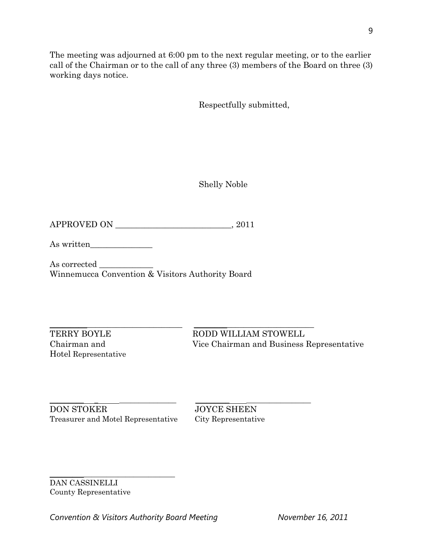\_\_\_\_\_\_\_\_\_\_\_\_\_\_\_\_\_\_\_\_\_\_\_\_\_\_\_\_\_\_\_\_\_ DAN CASSINELLI

County Representative

Hotel Representative

Convention & Visitors Authority Board Meeting November 16, 2011

\_\_\_\_\_\_\_\_\_ \_ \_\_\_\_\_\_\_\_\_\_\_\_\_\_\_ \_\_\_\_\_\_\_\_\_ \_\_\_\_\_\_\_\_\_\_\_\_\_\_\_\_\_ DON STOKER JOYCE SHEEN

TERRY BOYLE RODD WILLIAM STOWELL Chairman and Vice Chairman and Business Representative

The meeting was adjourned at 6:00 pm to the next regular meeting, or to the earlier call of the Chairman or to the call of any three (3) members of the Board on three (3)

APPROVED ON \_\_\_\_\_\_\_\_\_\_\_\_\_\_\_\_\_\_\_\_\_\_\_\_\_\_\_\_, 2011

As written\_\_\_\_\_\_\_\_\_\_\_\_\_\_\_

working days notice.

As corrected \_\_\_\_\_\_\_\_\_\_\_\_\_ Winnemucca Convention & Visitors Authority Board

 $\_$  ,  $\_$  ,  $\_$  ,  $\_$  ,  $\_$  ,  $\_$  ,  $\_$  ,  $\_$  ,  $\_$  ,  $\_$  ,  $\_$  ,  $\_$  ,  $\_$  ,  $\_$  ,  $\_$  ,  $\_$  ,  $\_$  ,  $\_$  ,  $\_$  ,  $\_$  ,  $\_$  ,  $\_$  ,  $\_$  ,  $\_$  ,  $\_$  ,  $\_$  ,  $\_$  ,  $\_$  ,  $\_$  ,  $\_$  ,  $\_$  ,  $\_$  ,  $\_$  ,  $\_$  ,  $\_$  ,  $\_$  ,  $\_$  ,

Treasurer and Motel Representative City Representative

Shelly Noble

Respectfully submitted,